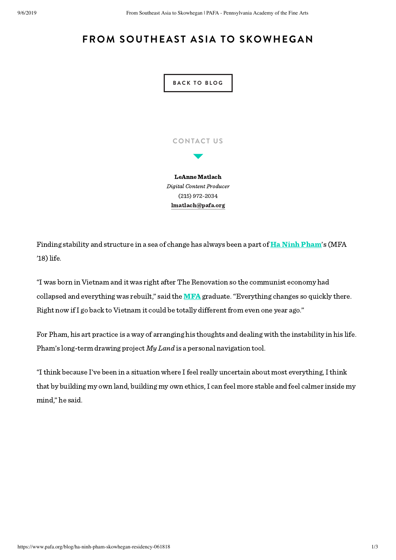## **FROM SOUTHEAST ASIA TO SKOWHEGAN**



Finding stability and structure in a sea of change has always been a part of **Ha [Ninh Pham'](http://www.haninh.com/)s** (MFA  $'18)$  life.

"I was born in Vietnam and it was right after The Renovation so the communist economy had collapsed and everything was rebuilt," said the  $MFA$  graduate. "Everything changes so quickly there. Right now ifI go back to Vietnam it could be totally different from even one year ago."

For Pham, his art practice is a way of arranging his thoughts and dealing with the instability in his life. Pham's long-term drawing project My Land is a personal navigation tool.

"Ithink because I've been in a situation where Ifeel really uncertain about most everything,Ithink that by building my own land, building my own ethics, I can feel more stable and feel calmer inside my mind," he said.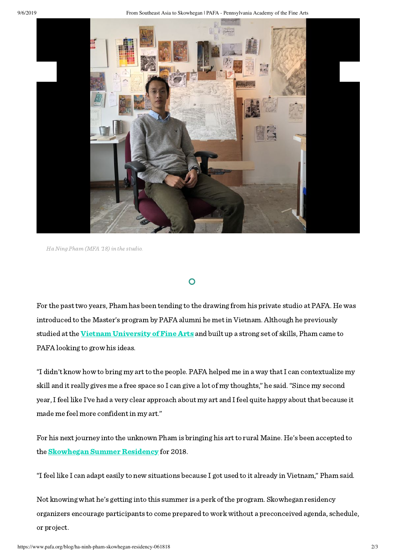9/6/2019 From Southeast Asia to Skowhegan | PAFA - Pennsylvania Academy of the Fine Arts



Ha Ning Pham (MFA '18) in the studio.

## $\mathbf O$

For the past two years, Pham has been tending to the drawing from his private studio at PAFA. He was introduced to the Master's program by PAFA alumni he met in Vietnam. Although he previously studied at the [Vietnam University of Fine Arts](http://mythuatvietnam.edu.vn/) and built up a strong set of skills, Pham came to PAFA looking to grow his ideas.

"I didn't know how to bring my art to the people. PAFA helped me in a way that I can contextualize my skill and it really gives me a free space so I can give a lot of my thoughts," he said."Since my second year,Ifeel like I've had a very clear approach about my art and Ifeel quite happy about that because it made me feel more confident in my art."

For his next journey into the unknown Pham is bringing his art to rural Maine. He's been accepted to the **[Skowhegan Summer Residency](https://www.skowheganart.org/)** for 2018.

"Ifeel like I can adapt easily to new situations because I got used to it already in Vietnam," Pham said.

Not knowing what he's getting into this summer is a perk of the program. Skowhegan residency organizers encourage participants to come prepared to work without a preconceived agenda, schedule, or project.